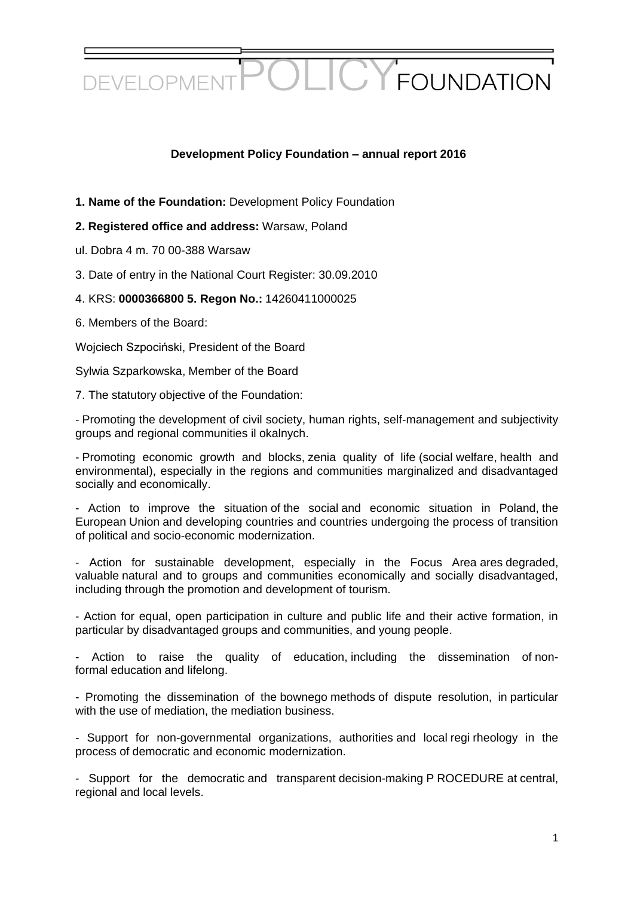

## **Development Policy Foundation – annual report 2016**

**1. Name of the Foundation:** Development Policy Foundation

## **2. Registered office and address:** Warsaw, Poland

- ul. Dobra 4 m. 70 00-388 Warsaw
- 3. Date of entry in the National Court Register: 30.09.2010
- 4. KRS: **0000366800 5. Regon No.:** 14260411000025
- 6. Members of the Board:

Wojciech Szpociński, President of the Board

Sylwia Szparkowska, Member of the Board

7. The statutory objective of the Foundation:

- Promoting the development of civil society, human rights, self-management and subjectivity groups and regional communities il okalnych.

- Promoting economic growth and blocks, zenia quality of life (social welfare, health and environmental), especially in the regions and communities marginalized and disadvantaged socially and economically.

- Action to improve the situation of the social and economic situation in Poland, the European Union and developing countries and countries undergoing the process of transition of political and socio-economic modernization.

- Action for sustainable development, especially in the Focus Area ares degraded, valuable natural and to groups and communities economically and socially disadvantaged, including through the promotion and development of tourism.

- Action for equal, open participation in culture and public life and their active formation, in particular by disadvantaged groups and communities, and young people.

Action to raise the quality of education, including the dissemination of nonformal education and lifelong.

- Promoting the dissemination of the bownego methods of dispute resolution, in particular with the use of mediation, the mediation business.

- Support for non-governmental organizations, authorities and local regi rheology in the process of democratic and economic modernization.

- Support for the democratic and transparent decision-making P ROCEDURE at central, regional and local levels.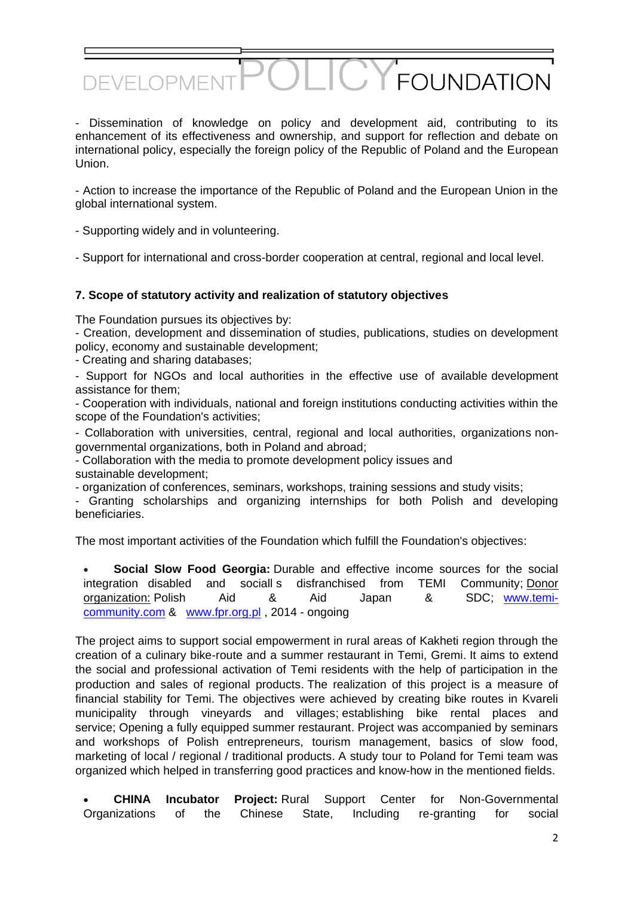- Dissemination of knowledge on policy and development aid, contributing to its enhancement of its effectiveness and ownership, and support for reflection and debate on international policy, especially the foreign policy of the Republic of Poland and the European Union.

 $\sum$ 

**FOUNDATION** 

- Action to increase the importance of the Republic of Poland and the European Union in the global international system.

- Supporting widely and in volunteering.

DEVELOPME

- Support for international and cross-border cooperation at central, regional and local level.

#### **7. Scope of statutory activity and realization of statutory objectives**

The Foundation pursues its objectives by:

- Creation, development and dissemination of studies, publications, studies on development policy, economy and sustainable development;

- Creating and sharing databases;

- Support for NGOs and local authorities in the effective use of available development assistance for them;

- Cooperation with individuals, national and foreign institutions conducting activities within the scope of the Foundation's activities;

- Collaboration with universities, central, regional and local authorities, organizations nongovernmental organizations, both in Poland and abroad;

- Collaboration with the media to promote development policy issues and sustainable development;

- organization of conferences, seminars, workshops, training sessions and study visits;

- Granting scholarships and organizing internships for both Polish and developing beneficiaries.

The most important activities of the Foundation which fulfill the Foundation's objectives:

 **Social Slow Food Georgia:** Durable and effective income sources for the social integration disabled and sociall s disfranchised from TEMI Community; Donor organization: Polish Aid & Aid Japan & SDC; [www.temi](https://translate.google.com/translate?hl=pl&prev=_t&sl=pl&tl=en&u=http://www.temi-community.com)[community.com](https://translate.google.com/translate?hl=pl&prev=_t&sl=pl&tl=en&u=http://www.temi-community.com) & [www.fpr.org.pl](https://translate.google.com/translate?hl=pl&prev=_t&sl=pl&tl=en&u=http://www.fpr.org.pl) , 2014 - ongoing

The project aims to support social empowerment in rural areas of Kakheti region through the creation of a culinary bike-route and a summer restaurant in Temi, Gremi. It aims to extend the social and professional activation of Temi residents with the help of participation in the production and sales of regional products. The realization of this project is a measure of financial stability for Temi. The objectives were achieved by creating bike routes in Kvareli municipality through vineyards and villages; establishing bike rental places and service; Opening a fully equipped summer restaurant. Project was accompanied by seminars and workshops of Polish entrepreneurs, tourism management, basics of slow food, marketing of local / regional / traditional products. A study tour to Poland for Temi team was organized which helped in transferring good practices and know-how in the mentioned fields.

 **CHINA Incubator Project:** Rural Support Center for Non-Governmental Organizations of the Chinese State, Including re-granting for social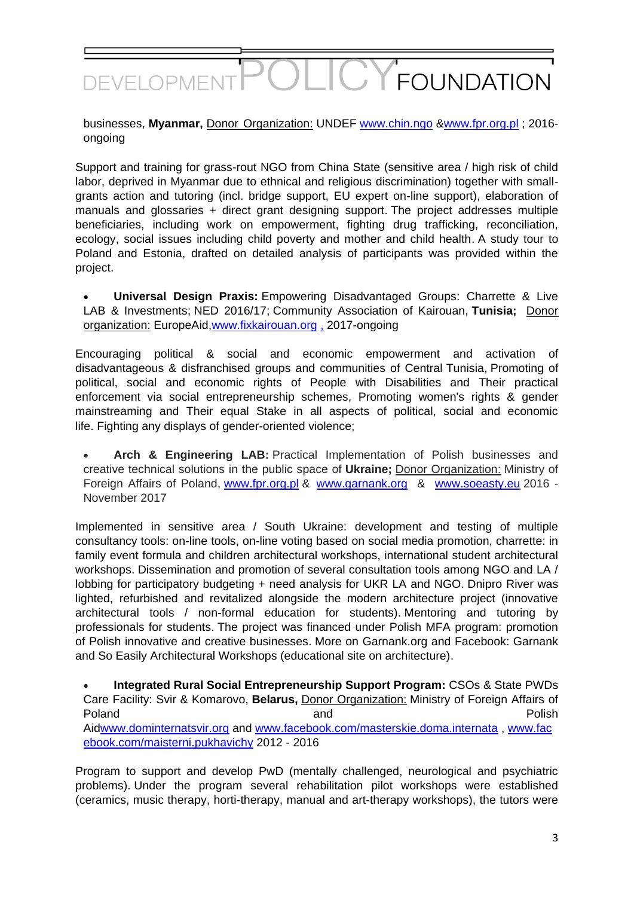## FOUNDATION DEVELOPME

businesses, **Myanmar,** Donor Organization: UNDEF [www.chin.ngo](https://translate.google.com/translate?hl=pl&prev=_t&sl=pl&tl=en&u=http://www.chin.ngo) [&www.fpr.org.pl](https://translate.google.com/translate?hl=pl&prev=_t&sl=pl&tl=en&u=http://www.fpr.org.pl) ; 2016 ongoing

Support and training for grass-rout NGO from China State (sensitive area / high risk of child labor, deprived in Myanmar due to ethnical and religious discrimination) together with smallgrants action and tutoring (incl. bridge support, EU expert on-line support), elaboration of manuals and glossaries + direct grant designing support. The project addresses multiple beneficiaries, including work on empowerment, fighting drug trafficking, reconciliation, ecology, social issues including child poverty and mother and child health. A study tour to Poland and Estonia, drafted on detailed analysis of participants was provided within the project.

 **Universal Design Praxis:** Empowering Disadvantaged Groups: Charrette & Live LAB & Investments; NED 2016/17; Community Association of Kairouan, **Tunisia;** Donor organization: EuropeAid[,www.fixkairouan.org](https://translate.google.com/translate?hl=pl&prev=_t&sl=pl&tl=en&u=http://www.fixkairouan.org) , 2017-ongoing

Encouraging political & social and economic empowerment and activation of disadvantageous & disfranchised groups and communities of Central Tunisia, Promoting of political, social and economic rights of People with Disabilities and Their practical enforcement via social entrepreneurship schemes, Promoting women's rights & gender mainstreaming and Their equal Stake in all aspects of political, social and economic life. Fighting any displays of gender-oriented violence;

 **Arch & Engineering LAB:** Practical Implementation of Polish businesses and creative technical solutions in the public space of **Ukraine;** Donor Organization: Ministry of Foreign Affairs of Poland, [www.fpr.org.pl](https://translate.google.com/translate?hl=pl&prev=_t&sl=pl&tl=en&u=http://www.fpr.org.pl) & [www.garnank.org](https://translate.google.com/translate?hl=pl&prev=_t&sl=pl&tl=en&u=http://www.garnank.org) & [www.soeasty.eu](https://translate.google.com/translate?hl=pl&prev=_t&sl=pl&tl=en&u=http://www.soeasty.eu) 2016 - November 2017

Implemented in sensitive area / South Ukraine: development and testing of multiple consultancy tools: on-line tools, on-line voting based on social media promotion, charrette: in family event formula and children architectural workshops, international student architectural workshops. Dissemination and promotion of several consultation tools among NGO and LA / lobbing for participatory budgeting + need analysis for UKR LA and NGO. Dnipro River was lighted, refurbished and revitalized alongside the modern architecture project (innovative architectural tools / non-formal education for students). Mentoring and tutoring by professionals for students. The project was financed under Polish MFA program: promotion of Polish innovative and creative businesses. More on Garnank.org and Facebook: Garnank and So Easily Architectural Workshops (educational site on architecture).

 **Integrated Rural Social Entrepreneurship Support Program:** CSOs & State PWDs Care Facility: Svir & Komarovo, **Belarus,** Donor Organization: Ministry of Foreign Affairs of Poland **and and Polish** Ai[dwww.dominternatsvir.org](https://translate.google.com/translate?hl=pl&prev=_t&sl=pl&tl=en&u=http://www.dominternatsvir.org) and [www.facebook.com/masterskie.doma.internata](https://translate.google.com/translate?hl=pl&prev=_t&sl=pl&tl=en&u=http://www.facebook.com/masterskie.doma.internata) , [www.fac](https://translate.google.com/translate?hl=pl&prev=_t&sl=pl&tl=en&u=http://www.facebook.com/maisterni.pukhavichy) [ebook.com/maisterni.pukhavichy](https://translate.google.com/translate?hl=pl&prev=_t&sl=pl&tl=en&u=http://www.facebook.com/maisterni.pukhavichy) 2012 - 2016

Program to support and develop PwD (mentally challenged, neurological and psychiatric problems). Under the program several rehabilitation pilot workshops were established (ceramics, music therapy, horti-therapy, manual and art-therapy workshops), the tutors were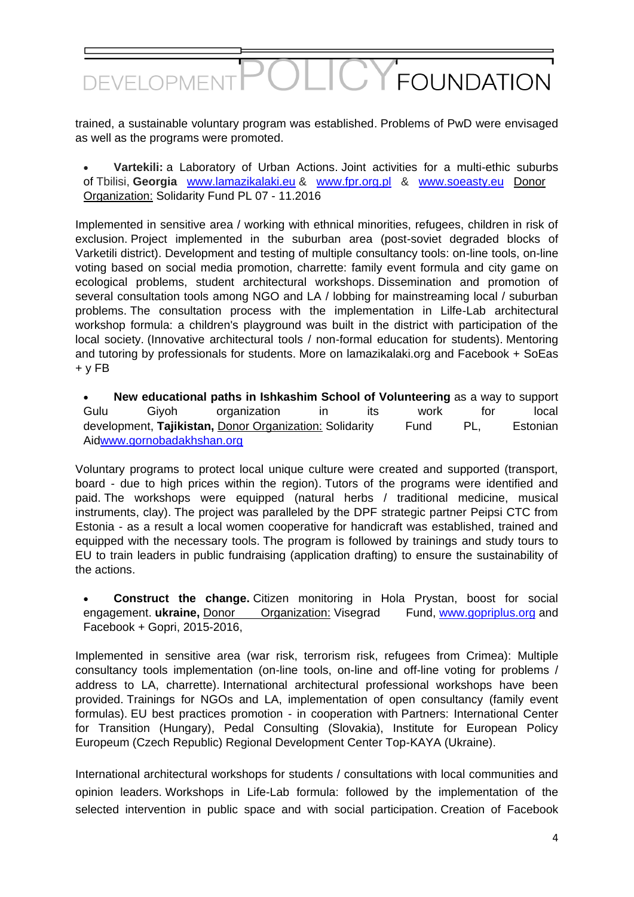## $\overline{C}$ FOUNDATION DEVELOPMEI

trained, a sustainable voluntary program was established. Problems of PwD were envisaged as well as the programs were promoted.

 **Vartekili:** a Laboratory of Urban Actions. Joint activities for a multi-ethic suburbs of Tbilisi, **Georgia** [www.lamazikalaki.eu](https://translate.google.com/translate?hl=pl&prev=_t&sl=pl&tl=en&u=http://www.lamazikalaki.eu) & [www.fpr.org.pl](https://translate.google.com/translate?hl=pl&prev=_t&sl=pl&tl=en&u=http://www.fpr.org.pl) & [www.soeasty.eu](https://translate.google.com/translate?hl=pl&prev=_t&sl=pl&tl=en&u=http://www.soeasty.eu) Donor Organization: Solidarity Fund PL 07 - 11.2016

Implemented in sensitive area / working with ethnical minorities, refugees, children in risk of exclusion. Project implemented in the suburban area (post-soviet degraded blocks of Varketili district). Development and testing of multiple consultancy tools: on-line tools, on-line voting based on social media promotion, charrette: family event formula and city game on ecological problems, student architectural workshops. Dissemination and promotion of several consultation tools among NGO and LA / lobbing for mainstreaming local / suburban problems. The consultation process with the implementation in Lilfe-Lab architectural workshop formula: a children's playground was built in the district with participation of the local society. (Innovative architectural tools / non-formal education for students). Mentoring and tutoring by professionals for students. More on lamazikalaki.org and Facebook + SoEas  $+$  v  $FB$ 

 **New educational paths in Ishkashim School of Volunteering** as a way to support Gulu Giyoh organization in its work for local development. **Tajikistan, Donor Organization: Solidarity** Fund PL, Estonian Ai[dwww.gornobadakhshan.org](https://translate.google.com/translate?hl=pl&prev=_t&sl=pl&tl=en&u=http://www.gornobadakhshan.org)

Voluntary programs to protect local unique culture were created and supported (transport, board - due to high prices within the region). Tutors of the programs were identified and paid. The workshops were equipped (natural herbs / traditional medicine, musical instruments, clay). The project was paralleled by the DPF strategic partner Peipsi CTC from Estonia - as a result a local women cooperative for handicraft was established, trained and equipped with the necessary tools. The program is followed by trainings and study tours to EU to train leaders in public fundraising (application drafting) to ensure the sustainability of the actions.

 **Construct the change.** Citizen monitoring in Hola Prystan, boost for social engagement. **ukraine,** Donor Organization: Visegrad Fund, [www.gopriplus.org](https://translate.google.com/translate?hl=pl&prev=_t&sl=pl&tl=en&u=http://www.gopriplus.org) and Facebook + Gopri, 2015-2016,

Implemented in sensitive area (war risk, terrorism risk, refugees from Crimea): Multiple consultancy tools implementation (on-line tools, on-line and off-line voting for problems / address to LA, charrette). International architectural professional workshops have been provided. Trainings for NGOs and LA, implementation of open consultancy (family event formulas). EU best practices promotion - in cooperation with Partners: International Center for Transition (Hungary), Pedal Consulting (Slovakia), Institute for European Policy Europeum (Czech Republic) Regional Development Center Top-KAYA (Ukraine).

International architectural workshops for students / consultations with local communities and opinion leaders. Workshops in Life-Lab formula: followed by the implementation of the selected intervention in public space and with social participation. Creation of Facebook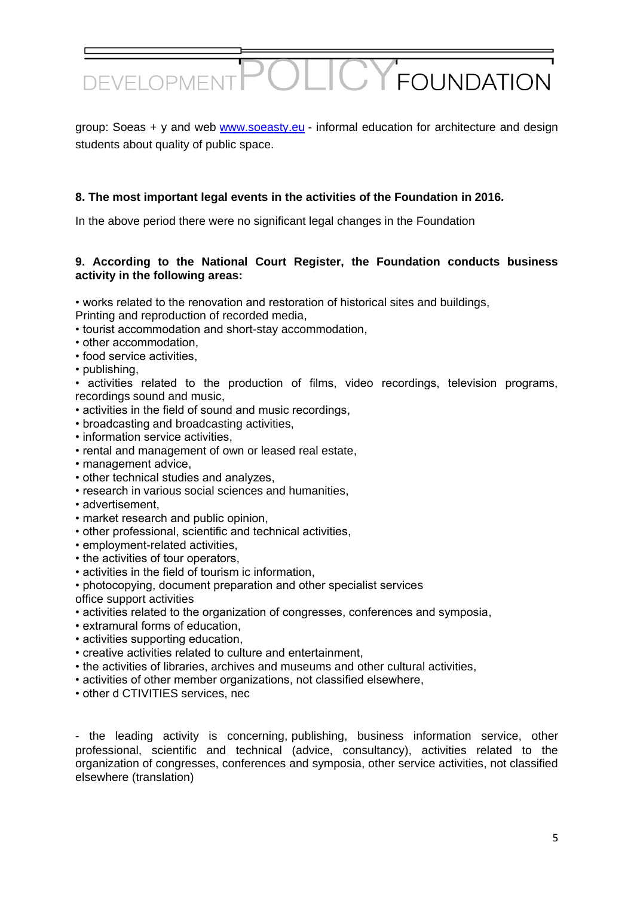

group: Soeas + y and web [www.soeasty.eu](https://translate.google.com/translate?hl=pl&prev=_t&sl=pl&tl=en&u=http://www.soeasty.eu) - informal education for architecture and design students about quality of public space.

## **8. The most important legal events in the activities of the Foundation in 2016.**

In the above period there were no significant legal changes in the Foundation

## **9. According to the National Court Register, the Foundation conducts business activity in the following areas:**

• works related to the renovation and restoration of historical sites and buildings,

- Printing and reproduction of recorded media,
- tourist accommodation and short-stay accommodation,
- other accommodation,
- food service activities,
- publishing,

• activities related to the production of films, video recordings, television programs, recordings sound and music,

- activities in the field of sound and music recordings,
- broadcasting and broadcasting activities,
- information service activities,
- rental and management of own or leased real estate,
- management advice,
- other technical studies and analyzes,
- research in various social sciences and humanities,
- advertisement,
- market research and public opinion,
- other professional, scientific and technical activities,
- employment-related activities,
- the activities of tour operators,
- activities in the field of tourism ic information,
- photocopying, document preparation and other specialist services
- office support activities
- activities related to the organization of congresses, conferences and symposia,
- extramural forms of education,
- activities supporting education,
- creative activities related to culture and entertainment,
- the activities of libraries, archives and museums and other cultural activities,
- activities of other member organizations, not classified elsewhere,
- other d CTIVITIES services, nec

- the leading activity is concerning, publishing, business information service, other professional, scientific and technical (advice, consultancy), activities related to the organization of congresses, conferences and symposia, other service activities, not classified elsewhere (translation)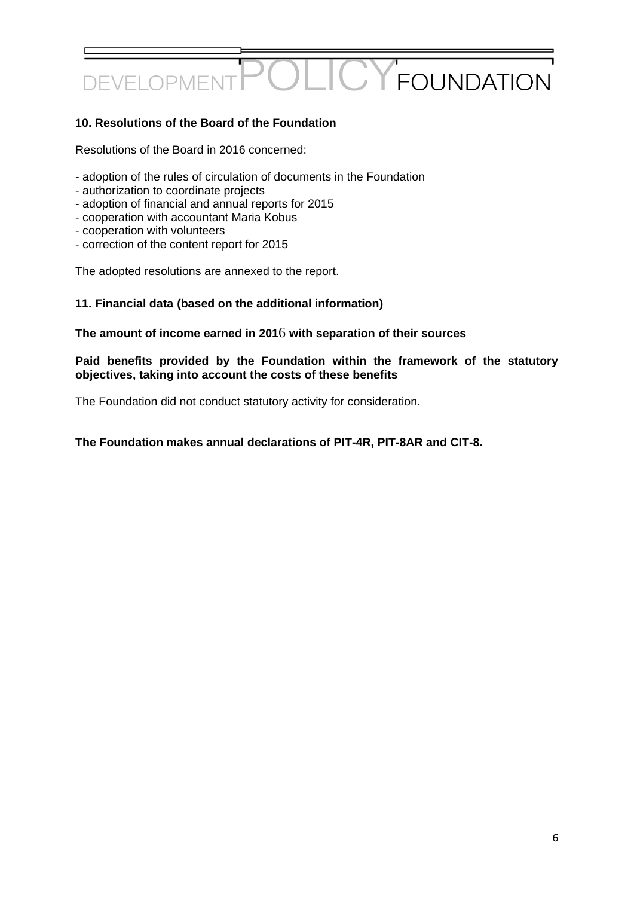## $\bigcap$ **Y** FOUNDATION **DEVELOPME**

## **10. Resolutions of the Board of the Foundation**

Resolutions of the Board in 2016 concerned:

- adoption of the rules of circulation of documents in the Foundation
- authorization to coordinate projects
- adoption of financial and annual reports for 2015
- cooperation with accountant Maria Kobus
- cooperation with volunteers
- correction of the content report for 2015

The adopted resolutions are annexed to the report.

## **11. Financial data (based on the additional information)**

#### **The amount of income earned in 201**6 **with separation of their sources**

#### **Paid benefits provided by the Foundation within the framework of the statutory objectives, taking into account the costs of these benefits**

The Foundation did not conduct statutory activity for consideration.

#### **The Foundation makes annual declarations of PIT-4R, PIT-8AR and CIT-8.**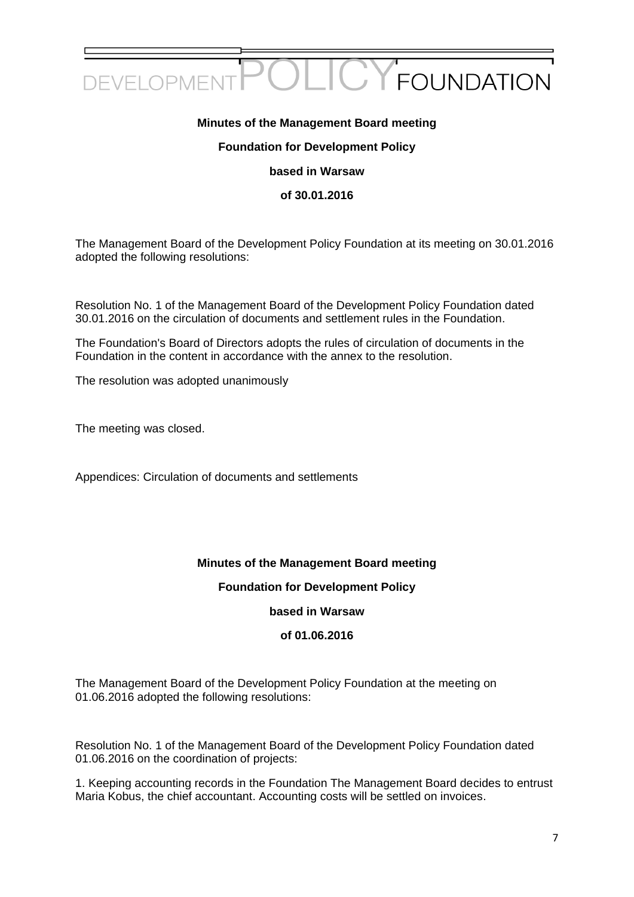

## **Minutes of the Management Board meeting**

#### **Foundation for Development Policy**

**based in Warsaw**

#### **of 30.01.2016**

The Management Board of the Development Policy Foundation at its meeting on 30.01.2016 adopted the following resolutions:

Resolution No. 1 of the Management Board of the Development Policy Foundation dated 30.01.2016 on the circulation of documents and settlement rules in the Foundation.

The Foundation's Board of Directors adopts the rules of circulation of documents in the Foundation in the content in accordance with the annex to the resolution.

The resolution was adopted unanimously

The meeting was closed.

Appendices: Circulation of documents and settlements

## **Minutes of the Management Board meeting**

## **Foundation for Development Policy**

## **based in Warsaw**

## **of 01.06.2016**

The Management Board of the Development Policy Foundation at the meeting on 01.06.2016 adopted the following resolutions:

Resolution No. 1 of the Management Board of the Development Policy Foundation dated 01.06.2016 on the coordination of projects:

1. Keeping accounting records in the Foundation The Management Board decides to entrust Maria Kobus, the chief accountant. Accounting costs will be settled on invoices.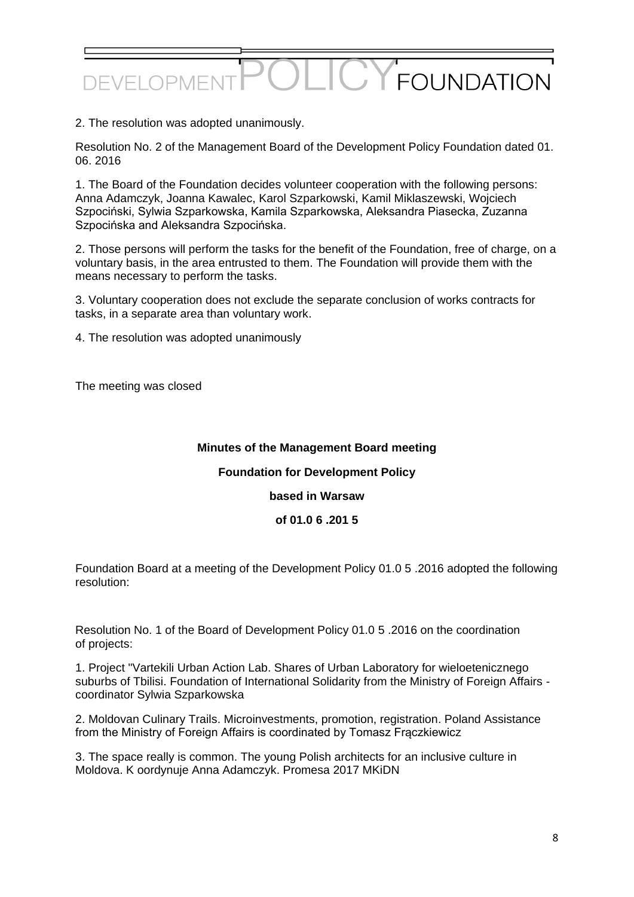# **FOUNDATION** DEVELOPMI

2. The resolution was adopted unanimously.

Resolution No. 2 of the Management Board of the Development Policy Foundation dated 01. 06. 2016

1. The Board of the Foundation decides volunteer cooperation with the following persons: Anna Adamczyk, Joanna Kawalec, Karol Szparkowski, Kamil Miklaszewski, Wojciech Szpociński, Sylwia Szparkowska, Kamila Szparkowska, Aleksandra Piasecka, Zuzanna Szpocińska and Aleksandra Szpocińska.

2. Those persons will perform the tasks for the benefit of the Foundation, free of charge, on a voluntary basis, in the area entrusted to them. The Foundation will provide them with the means necessary to perform the tasks.

3. Voluntary cooperation does not exclude the separate conclusion of works contracts for tasks, in a separate area than voluntary work.

4. The resolution was adopted unanimously

The meeting was closed

## **Minutes of the Management Board meeting**

## **Foundation for Development Policy**

#### **based in Warsaw**

#### **of 01.0 6 .201 5**

Foundation Board at a meeting of the Development Policy 01.0 5 .2016 adopted the following resolution:

Resolution No. 1 of the Board of Development Policy 01.0 5 .2016 on the coordination of projects:

1. Project "Vartekili Urban Action Lab. Shares of Urban Laboratory for wieloetenicznego suburbs of Tbilisi. Foundation of International Solidarity from the Ministry of Foreign Affairs coordinator Sylwia Szparkowska

2. Moldovan Culinary Trails. Microinvestments, promotion, registration. Poland Assistance from the Ministry of Foreign Affairs is coordinated by Tomasz Frączkiewicz

3. The space really is common. The young Polish architects for an inclusive culture in Moldova. K oordynuje Anna Adamczyk. Promesa 2017 MKiDN